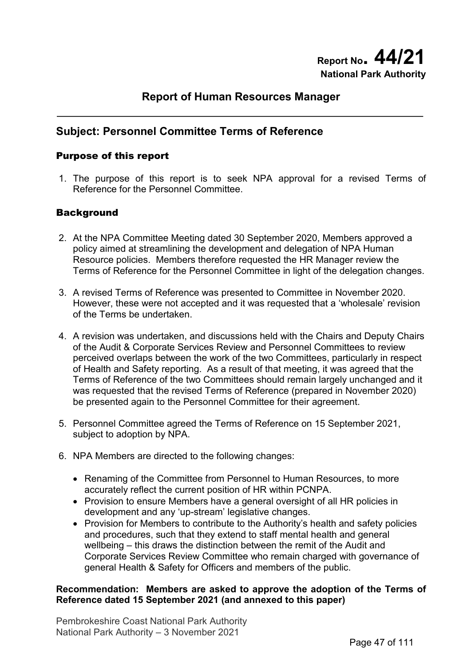# **Report of Human Resources Manager**

# **Subject: Personnel Committee Terms of Reference**

### Purpose of this report

1. The purpose of this report is to seek NPA approval for a revised Terms of Reference for the Personnel Committee.

## **Background**

- 2. At the NPA Committee Meeting dated 30 September 2020, Members approved a policy aimed at streamlining the development and delegation of NPA Human Resource policies. Members therefore requested the HR Manager review the Terms of Reference for the Personnel Committee in light of the delegation changes.
- 3. A revised Terms of Reference was presented to Committee in November 2020. However, these were not accepted and it was requested that a 'wholesale' revision of the Terms be undertaken.
- 4. A revision was undertaken, and discussions held with the Chairs and Deputy Chairs of the Audit & Corporate Services Review and Personnel Committees to review perceived overlaps between the work of the two Committees, particularly in respect of Health and Safety reporting. As a result of that meeting, it was agreed that the Terms of Reference of the two Committees should remain largely unchanged and it was requested that the revised Terms of Reference (prepared in November 2020) be presented again to the Personnel Committee for their agreement.
- 5. Personnel Committee agreed the Terms of Reference on 15 September 2021, subject to adoption by NPA.
- 6. NPA Members are directed to the following changes:
	- Renaming of the Committee from Personnel to Human Resources, to more accurately reflect the current position of HR within PCNPA.
	- Provision to ensure Members have a general oversight of all HR policies in development and any 'up-stream' legislative changes.
	- Provision for Members to contribute to the Authority's health and safety policies and procedures, such that they extend to staff mental health and general wellbeing – this draws the distinction between the remit of the Audit and Corporate Services Review Committee who remain charged with governance of general Health & Safety for Officers and members of the public.

### **Recommendation: Members are asked to approve the adoption of the Terms of Reference dated 15 September 2021 (and annexed to this paper)**

Pembrokeshire Coast National Park Authority National Park Authority – 3 November 2021